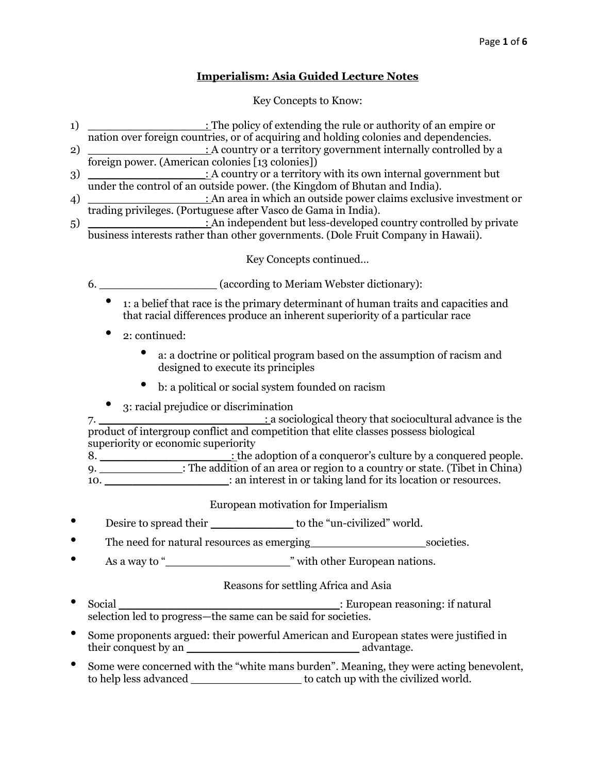## **Imperialism: Asia Guided Lecture Notes**

### Key Concepts to Know:

- 1) \_\_\_\_\_\_\_\_\_\_\_\_\_\_\_\_\_\_\_\_\_\_\_: The policy of extending the rule or authority of an empire or nation over foreign countries, or of acquiring and holding colonies and dependencies.
- 2) \_\_\_\_\_\_\_\_\_\_\_\_\_\_\_\_\_\_\_\_\_\_: A country or a territory government internally controlled by a foreign power. (American colonies [13 colonies])
- 3) \_\_\_\_\_\_\_\_\_\_\_\_\_\_\_\_\_\_\_\_\_\_\_: A country or a territory with its own internal government but under the control of an outside power. (the Kingdom of Bhutan and India).
- 4) \_\_\_\_\_\_\_\_\_\_\_\_\_\_\_\_\_: An area in which an outside power claims exclusive investment or trading privileges. (Portuguese after Vasco de Gama in India).
- $\overline{5}$   $\overline{\phantom{0}}$   $\overline{\phantom{0}}$   $\overline{\phantom{0}}$   $\overline{\phantom{0}}$   $\overline{\phantom{0}}$   $\overline{\phantom{0}}$   $\overline{\phantom{0}}$   $\overline{\phantom{0}}$   $\overline{\phantom{0}}$   $\overline{\phantom{0}}$   $\overline{\phantom{0}}$   $\overline{\phantom{0}}$   $\overline{\phantom{0}}$   $\overline{\phantom{0}}$   $\overline{\phantom{0}}$   $\overline{\phantom{0}}$   $\overline{\phantom{0}}$   $\overline{\phantom{$ business interests rather than other governments. (Dole Fruit Company in Hawaii).

Key Concepts continued…

6. **Example 2.1** (according to Meriam Webster dictionary):

- 1: a belief that race is the primary determinant of human traits and capacities and that racial differences produce an inherent superiority of a particular race
- 2: continued:
	- a: a doctrine or political program based on the assumption of racism and designed to execute its principles
	- b: a political or social system founded on racism
- 3: racial prejudice or discrimination

7. \_\_\_\_\_\_\_\_\_\_\_\_\_\_\_\_\_\_\_\_\_\_\_\_: a sociological theory that sociocultural advance is the product of intergroup conflict and competition that elite classes possess biological superiority or economic superiority

8. \_\_\_\_\_\_\_\_\_\_\_\_\_\_\_\_\_\_\_: the adoption of a conqueror's culture by a conquered people. 9. \_\_\_\_\_\_\_\_\_\_\_\_: The addition of an area or region to a country or state. (Tibet in China) 10. \_\_\_\_\_\_\_\_\_\_\_\_\_\_\_\_\_\_\_\_: an interest in or taking land for its location or resources.

European motivation for Imperialism

- Desire to spread their to the "un-civilized" world.
- The need for natural resources as emerging societies.
- As a way to "\_\_\_\_\_\_\_\_\_\_\_\_\_\_\_\_\_\_" with other European nations.

### Reasons for settling Africa and Asia

- Social \_\_\_\_\_\_\_\_\_\_\_\_\_\_\_\_\_\_\_\_\_\_\_\_\_\_\_\_\_\_\_\_: European reasoning: if natural selection led to progress—the same can be said for societies.
- Some proponents argued: their powerful American and European states were justified in  $t$  and  $t$  advantage.
- Some were concerned with the "white mans burden". Meaning, they were acting benevolent, to help less advanced \_\_\_\_\_\_\_\_\_\_\_\_\_\_\_\_ to catch up with the civilized world.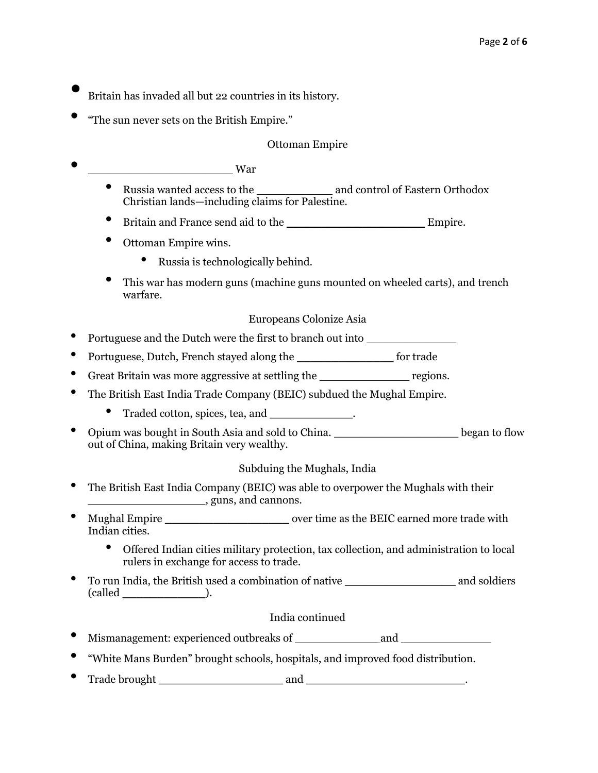- Britain has invaded all but 22 countries in its history.
- "The sun never sets on the British Empire."

### Ottoman Empire

- \_\_\_\_\_\_\_\_\_\_\_\_\_\_\_\_\_\_\_\_\_ War
	- Russia wanted access to the \_\_\_\_\_\_\_\_\_\_\_ and control of Eastern Orthodox Christian lands—including claims for Palestine.
	- Britain and France send aid to the \_\_\_\_\_\_\_\_\_\_\_\_\_\_\_\_\_\_\_\_ Empire.
	- Ottoman Empire wins.
		- Russia is technologically behind.
	- This war has modern guns (machine guns mounted on wheeled carts), and trench warfare.

### Europeans Colonize Asia

- Portuguese and the Dutch were the first to branch out into \_\_\_\_\_\_\_\_\_\_\_\_\_
- Portuguese, Dutch, French stayed along the \_\_\_\_\_\_\_\_\_\_\_\_\_\_ for trade
- Great Britain was more aggressive at settling the regions.
- The British East India Trade Company (BEIC) subdued the Mughal Empire.
	- Traded cotton, spices, tea, and \_\_\_\_\_\_\_\_\_\_\_\_\_.
- Opium was bought in South Asia and sold to China. \_\_\_\_\_\_\_\_\_\_\_\_\_\_\_\_\_\_ began to flow out of China, making Britain very wealthy.

# Subduing the Mughals, India

- The British East India Company (BEIC) was able to overpower the Mughals with their \_\_\_\_\_\_\_\_\_\_\_\_\_\_\_\_\_, guns, and cannons.
- Mughal Empire over time as the BEIC earned more trade with Indian cities.
	- Offered Indian cities military protection, tax collection, and administration to local rulers in exchange for access to trade.
- To run India, the British used a combination of native **and soldiers** and soldiers  $(called \_$ .

### India continued

- Mismanagement: experienced outbreaks of \_\_\_\_\_\_\_\_\_\_\_\_ and \_\_\_\_\_\_\_\_\_\_\_\_\_
- "White Mans Burden" brought schools, hospitals, and improved food distribution.
- Trade brought \_\_\_\_\_\_\_\_\_\_\_\_\_\_\_\_\_\_ and \_\_\_\_\_\_\_\_\_\_\_\_\_\_\_\_\_\_\_\_\_\_\_.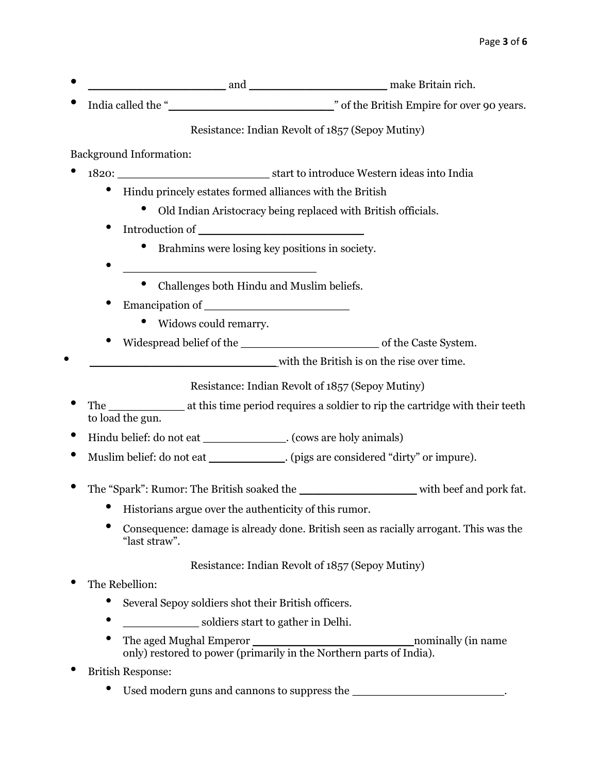- \_\_\_\_\_\_\_\_\_\_\_\_\_\_\_\_\_\_\_\_ and \_\_\_\_\_\_\_\_\_\_\_\_\_\_\_\_\_\_\_\_ make Britain rich.
- India called the "<br>  $\blacksquare$  of the British Empire for over 90 years.

Resistance: Indian Revolt of 1857 (Sepoy Mutiny)

Background Information:

- 1820: \_\_\_\_\_\_\_\_\_\_\_\_\_\_\_\_\_\_\_\_\_\_ start to introduce Western ideas into India
	- Hindu princely estates formed alliances with the British
		- Old Indian Aristocracy being replaced with British officials.
	- Introduction of
		- Brahmins were losing key positions in society.
	- \_\_\_\_\_\_\_\_\_\_\_\_\_\_\_\_\_\_\_\_\_\_\_\_\_\_\_\_
		- Challenges both Hindu and Muslim beliefs.
	- Emancipation of
		- Widows could remarry.
	- Widespread belief of the \_\_\_\_\_\_\_\_\_\_\_\_\_\_\_\_\_\_\_\_ of the Caste System.
- with the British is on the rise over time.

Resistance: Indian Revolt of 1857 (Sepoy Mutiny)

- The \_\_\_\_\_\_\_\_\_\_\_\_\_\_\_ at this time period requires a soldier to rip the cartridge with their teeth to load the gun.
- Hindu belief: do not eat \_\_\_\_\_\_\_\_\_\_\_\_. (cows are holy animals)
- Muslim belief: do not eat (pigs are considered "dirty" or impure).
- The "Spark": Rumor: The British soaked the with beef and pork fat.
	- Historians argue over the authenticity of this rumor.
	- Consequence: damage is already done. British seen as racially arrogant. This was the "last straw".

Resistance: Indian Revolt of 1857 (Sepoy Mutiny)

- The Rebellion:
	- Several Sepoy soldiers shot their British officers.
	- soldiers start to gather in Delhi.
	- The aged Mughal Emperor The aged Mughal Emperor only) restored to power (primarily in the Northern parts of India).
- British Response:
	- Used modern guns and cannons to suppress the \_\_\_\_\_\_\_\_\_\_\_\_\_\_\_\_\_\_\_\_\_\_\_\_\_.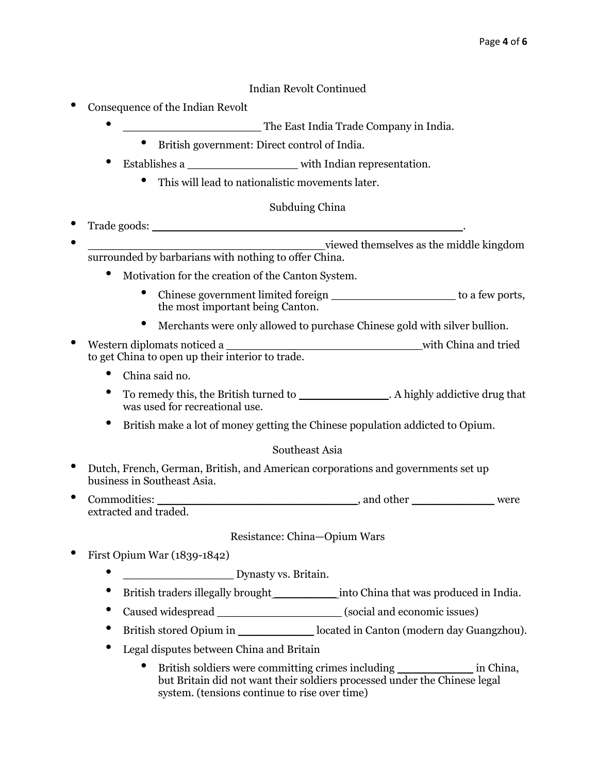### Indian Revolt Continued

- Consequence of the Indian Revolt
	- **The East India Trade Company in India.** 
		- British government: Direct control of India.
	- Establishes a \_\_\_\_\_\_\_\_\_\_\_\_\_\_\_\_ with Indian representation.
		- This will lead to nationalistic movements later.

# Subduing China

- Trade goods: \_\_\_\_\_\_\_\_\_\_\_\_\_\_\_\_\_\_\_\_\_\_\_\_\_\_\_\_\_\_\_\_\_\_\_\_\_\_\_\_\_\_\_\_\_. • \_\_\_\_\_\_\_\_\_\_\_\_\_\_\_\_\_\_\_\_\_\_\_\_\_\_\_\_\_\_\_\_\_\_ viewed themselves as the middle kingdom
- surrounded by barbarians with nothing to offer China.
	- Motivation for the creation of the Canton System.
		- Chinese government limited foreign \_\_\_\_\_\_\_\_\_\_\_\_\_\_\_\_\_\_\_\_\_\_\_\_ to a few ports, the most important being Canton.
		- Merchants were only allowed to purchase Chinese gold with silver bullion.
- Western diplomats noticed a \_\_\_\_\_\_\_\_\_\_\_\_\_\_\_\_\_\_\_\_\_\_\_\_\_\_\_\_ with China and tried to get China to open up their interior to trade.
	- China said no.
	- To remedy this, the British turned to \_\_\_\_\_\_\_\_\_\_\_\_\_. A highly addictive drug that was used for recreational use.
	- British make a lot of money getting the Chinese population addicted to Opium.

### Southeast Asia

- Dutch, French, German, British, and American corporations and governments set up business in Southeast Asia.
- Commodities: \_\_\_\_\_\_\_\_\_\_\_\_\_\_\_\_\_\_\_\_\_\_\_\_\_\_\_\_\_\_\_\_\_\_\_, and other \_\_\_\_\_\_\_\_\_\_\_\_\_\_\_\_\_were extracted and traded.

### Resistance: China—Opium Wars

- First Opium War (1839-1842)
	- \_\_\_\_\_\_\_\_\_\_\_\_\_\_\_\_ Dynasty vs. Britain.
	- British traders illegally brought \_\_\_\_\_\_\_\_\_\_\_\_\_\_ into China that was produced in India.
	- Caused widespread \_\_\_\_\_\_\_\_\_\_\_\_\_\_\_\_\_\_\_\_\_\_\_\_\_\_\_ (social and economic issues)
	- British stored Opium in \_\_\_\_\_\_\_\_\_\_\_ located in Canton (modern day Guangzhou).
	- Legal disputes between China and Britain
		- British soldiers were committing crimes including \_\_\_\_\_\_\_\_\_\_\_\_\_\_ in China, but Britain did not want their soldiers processed under the Chinese legal system. (tensions continue to rise over time)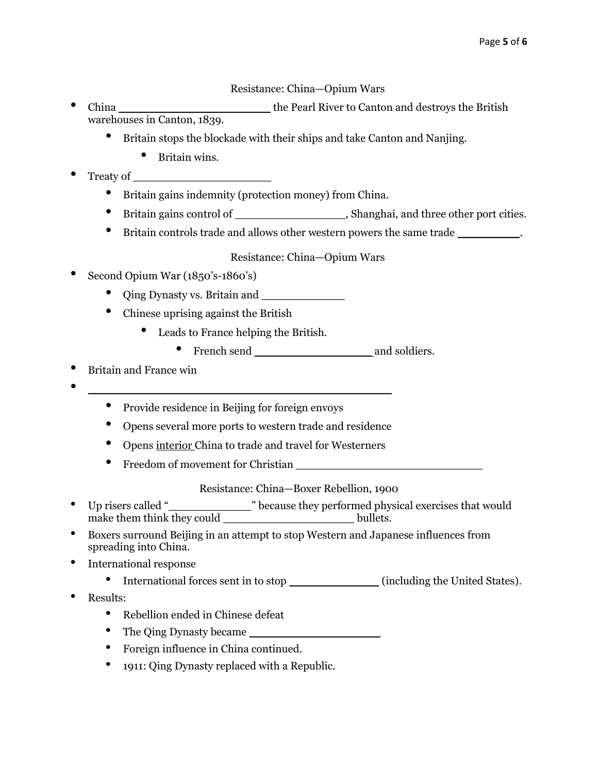# Resistance: China—Opium Wars

- China \_\_\_\_\_\_\_\_\_\_\_\_\_\_\_\_\_\_\_\_\_\_ the Pearl River to Canton and destroys the British warehouses in Canton, 1839.
	- Britain stops the blockade with their ships and take Canton and Nanjing.
		- Britain wins.
- Treaty of
	- Britain gains indemnity (protection money) from China.
	- Britain gains control of \_\_\_\_\_\_\_\_\_\_\_\_\_\_\_\_, Shanghai, and three other port cities.
	- Britain controls trade and allows other western powers the same trade \_\_\_\_\_\_\_\_\_.

## Resistance: China—Opium Wars

- Second Opium War (1850's-1860's)
	- Qing Dynasty vs. Britain and \_\_\_\_\_\_\_\_\_\_\_\_
	- Chinese uprising against the British
		- Leads to France helping the British.
			- French send \_\_\_\_\_\_\_\_\_\_\_\_\_\_\_\_\_ and soldiers.
- Britain and France win
- \_\_\_\_\_\_\_\_\_\_\_\_\_\_\_\_\_\_\_\_\_\_\_\_\_\_\_\_\_\_\_\_\_\_\_\_\_\_\_\_\_\_\_\_
	- Provide residence in Beijing for foreign envoys
	- Opens several more ports to western trade and residence
	- Opens interior China to trade and travel for Westerners
	- Freedom of movement for Christian

### Resistance: China—Boxer Rebellion, 1900

- Up risers called "\_\_\_\_\_\_\_\_\_\_\_\_" because they performed physical exercises that would make them think they could bullets.
- Boxers surround Beijing in an attempt to stop Western and Japanese influences from spreading into China.
- International response
	- International forces sent in to stop (including the United States).
- Results:
	- Rebellion ended in Chinese defeat
	- The Qing Dynasty became
	- Foreign influence in China continued.
	- 1911: Qing Dynasty replaced with a Republic.